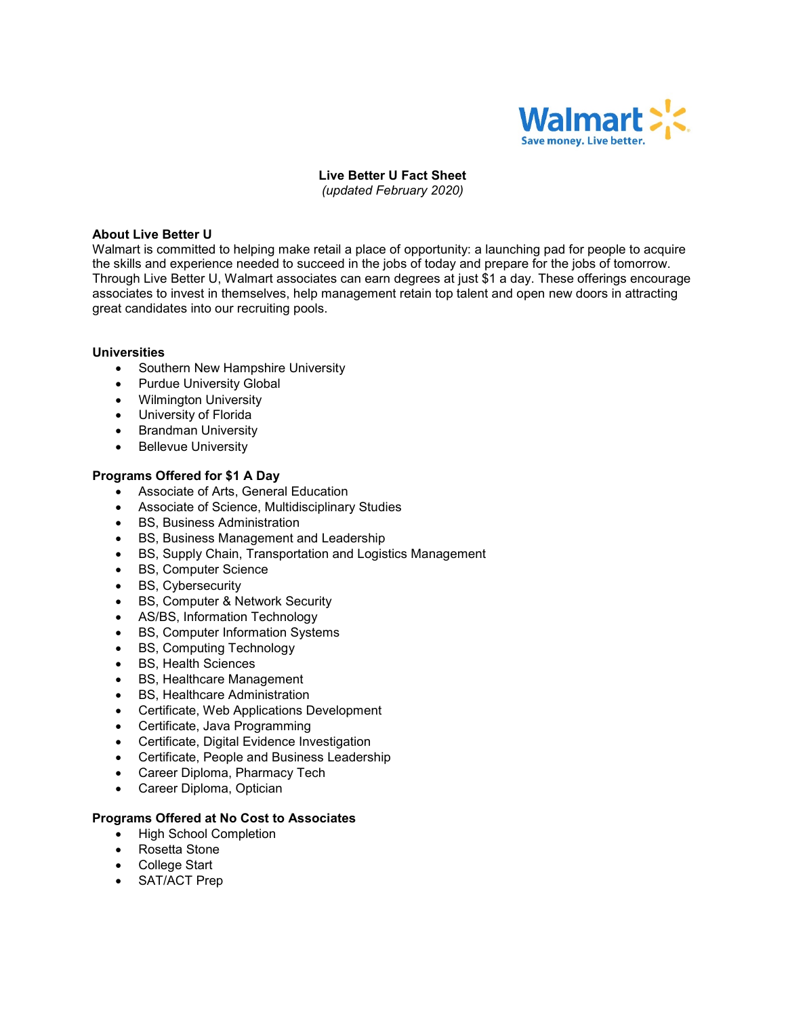

# **Live Better U Fact Sheet**

*(updated February 2020)*

# **About Live Better U**

Walmart is committed to helping make retail a place of opportunity: a launching pad for people to acquire the skills and experience needed to succeed in the jobs of today and prepare for the jobs of tomorrow. Through Live Better U, Walmart associates can earn degrees at just \$1 a day. These offerings encourage associates to invest in themselves, help management retain top talent and open new doors in attracting great candidates into our recruiting pools.

# **Universities**

- Southern New Hampshire University
- Purdue University Global
- Wilmington University
- University of Florida
- Brandman University
- Bellevue University

# **Programs Offered for \$1 A Day**

- Associate of Arts, General Education
- Associate of Science, Multidisciplinary Studies
- BS, Business Administration
- BS, Business Management and Leadership
- BS, Supply Chain, Transportation and Logistics Management
- BS, Computer Science
- BS, Cybersecurity
- BS, Computer & Network Security
- AS/BS, Information Technology
- BS, Computer Information Systems
- BS, Computing Technology
- BS, Health Sciences
- BS, Healthcare Management
- BS, Healthcare Administration
- Certificate, Web Applications Development
- Certificate, Java Programming
- Certificate, Digital Evidence Investigation
- Certificate, People and Business Leadership
- Career Diploma, Pharmacy Tech
- Career Diploma, Optician

## **Programs Offered at No Cost to Associates**

- High School Completion
- Rosetta Stone
- College Start
- SAT/ACT Prep